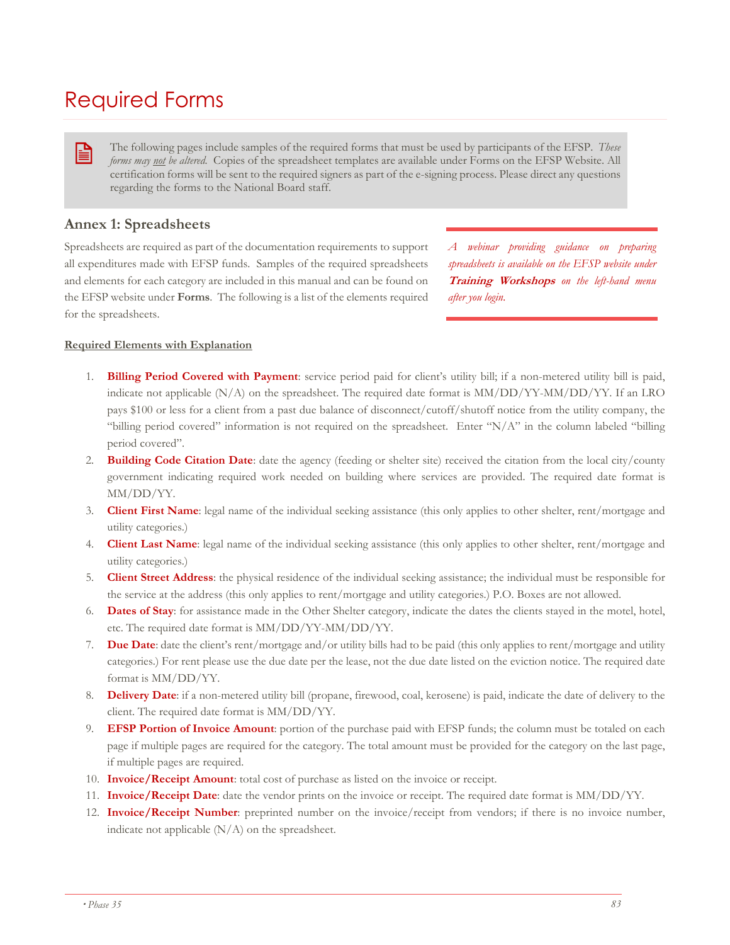# Required Forms

The following pages include samples of the required forms that must be used by participants of the EFSP. *These forms may not be altered.* Copies of the spreadsheet templates are available under Forms on the EFSP Website. All certification forms will be sent to the required signers as part of the e-signing process. Please direct any questions regarding the forms to the National Board staff.

## **Annex 1: Spreadsheets**

B

Spreadsheets are required as part of the documentation requirements to support all expenditures made with EFSP funds. Samples of the required spreadsheets and elements for each category are included in this manual and can be found on the EFSP website under **Forms**. The following is a list of the elements required for the spreadsheets.

*A webinar providing guidance on preparing spreadsheets is available on the EFSP website under* **Training Workshops** *on the left-hand menu after you login.* 

#### **Required Elements with Explanation**

- 1. **Billing Period Covered with Payment**: service period paid for client's utility bill; if a non-metered utility bill is paid, indicate not applicable (N/A) on the spreadsheet. The required date format is MM/DD/YY-MM/DD/YY. If an LRO pays \$100 or less for a client from a past due balance of disconnect/cutoff/shutoff notice from the utility company, the "billing period covered" information is not required on the spreadsheet. Enter "N/A" in the column labeled "billing period covered".
- 2. **Building Code Citation Date**: date the agency (feeding or shelter site) received the citation from the local city/county government indicating required work needed on building where services are provided. The required date format is MM/DD/YY.
- 3. **Client First Name**: legal name of the individual seeking assistance (this only applies to other shelter, rent/mortgage and utility categories.)
- 4. **Client Last Name**: legal name of the individual seeking assistance (this only applies to other shelter, rent/mortgage and utility categories.)
- 5. **Client Street Address**: the physical residence of the individual seeking assistance; the individual must be responsible for the service at the address (this only applies to rent/mortgage and utility categories.) P.O. Boxes are not allowed.
- 6. **Dates of Stay**: for assistance made in the Other Shelter category, indicate the dates the clients stayed in the motel, hotel, etc. The required date format is MM/DD/YY-MM/DD/YY.
- 7. **Due Date**: date the client's rent/mortgage and/or utility bills had to be paid (this only applies to rent/mortgage and utility categories.) For rent please use the due date per the lease, not the due date listed on the eviction notice. The required date format is MM/DD/YY.
- 8. **Delivery Date**: if a non-metered utility bill (propane, firewood, coal, kerosene) is paid, indicate the date of delivery to the client. The required date format is MM/DD/YY.
- 9. **EFSP Portion of Invoice Amount**: portion of the purchase paid with EFSP funds; the column must be totaled on each page if multiple pages are required for the category. The total amount must be provided for the category on the last page, if multiple pages are required.
- 10. **Invoice/Receipt Amount**: total cost of purchase as listed on the invoice or receipt.
- 11. **Invoice/Receipt Date**: date the vendor prints on the invoice or receipt. The required date format is MM/DD/YY.
- 12. **Invoice/Receipt Number**: preprinted number on the invoice/receipt from vendors; if there is no invoice number, indicate not applicable  $(N/A)$  on the spreadsheet.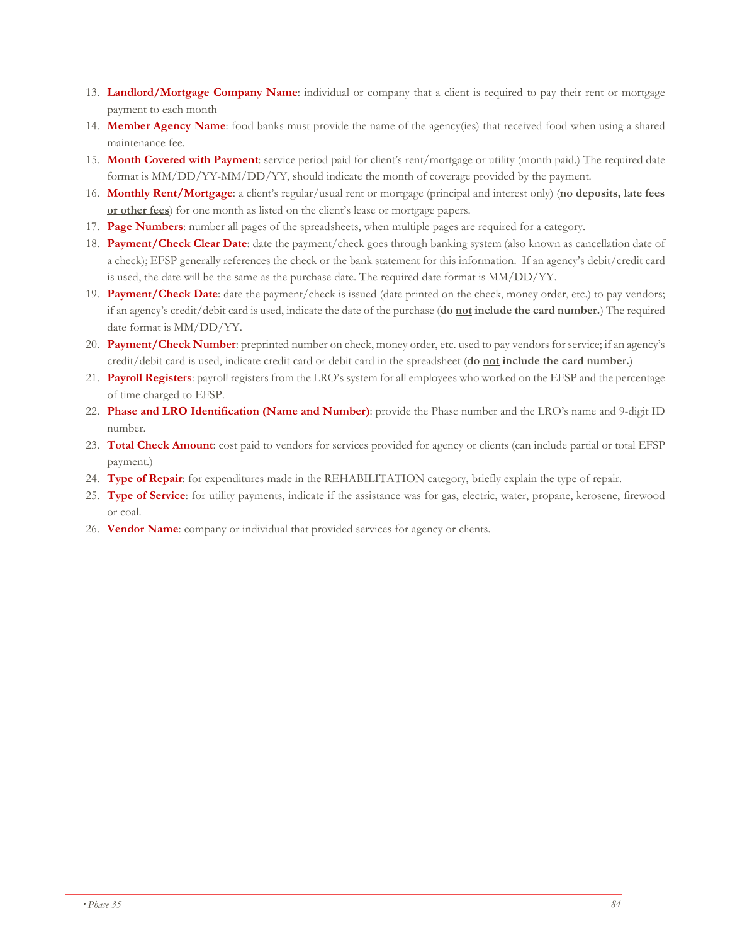- 13. **Landlord/Mortgage Company Name**: individual or company that a client is required to pay their rent or mortgage payment to each month
- 14. **Member Agency Name**: food banks must provide the name of the agency(ies) that received food when using a shared maintenance fee.
- 15. **Month Covered with Payment**: service period paid for client's rent/mortgage or utility (month paid.) The required date format is MM/DD/YY-MM/DD/YY, should indicate the month of coverage provided by the payment.
- 16. **Monthly Rent/Mortgage**: a client's regular/usual rent or mortgage (principal and interest only) (**no deposits, late fees or other fees**) for one month as listed on the client's lease or mortgage papers.
- 17. **Page Numbers**: number all pages of the spreadsheets, when multiple pages are required for a category.
- 18. **Payment/Check Clear Date**: date the payment/check goes through banking system (also known as cancellation date of a check); EFSP generally references the check or the bank statement for this information. If an agency's debit/credit card is used, the date will be the same as the purchase date. The required date format is  $MM/DD/YY$ .
- 19. **Payment/Check Date**: date the payment/check is issued (date printed on the check, money order, etc.) to pay vendors; if an agency's credit/debit card is used, indicate the date of the purchase (**do not include the card number.**) The required date format is MM/DD/YY.
- 20. **Payment/Check Number**: preprinted number on check, money order, etc. used to pay vendors for service; if an agency's credit/debit card is used, indicate credit card or debit card in the spreadsheet (**do not include the card number.**)
- 21. **Payroll Registers**: payroll registers from the LRO's system for all employees who worked on the EFSP and the percentage of time charged to EFSP.
- 22. **Phase and LRO Identification (Name and Number)**: provide the Phase number and the LRO's name and 9-digit ID number.
- 23. **Total Check Amount**: cost paid to vendors for services provided for agency or clients (can include partial or total EFSP payment.)
- 24. **Type of Repair**: for expenditures made in the REHABILITATION category, briefly explain the type of repair.
- 25. **Type of Service**: for utility payments, indicate if the assistance was for gas, electric, water, propane, kerosene, firewood or coal.
- 26. **Vendor Name**: company or individual that provided services for agency or clients.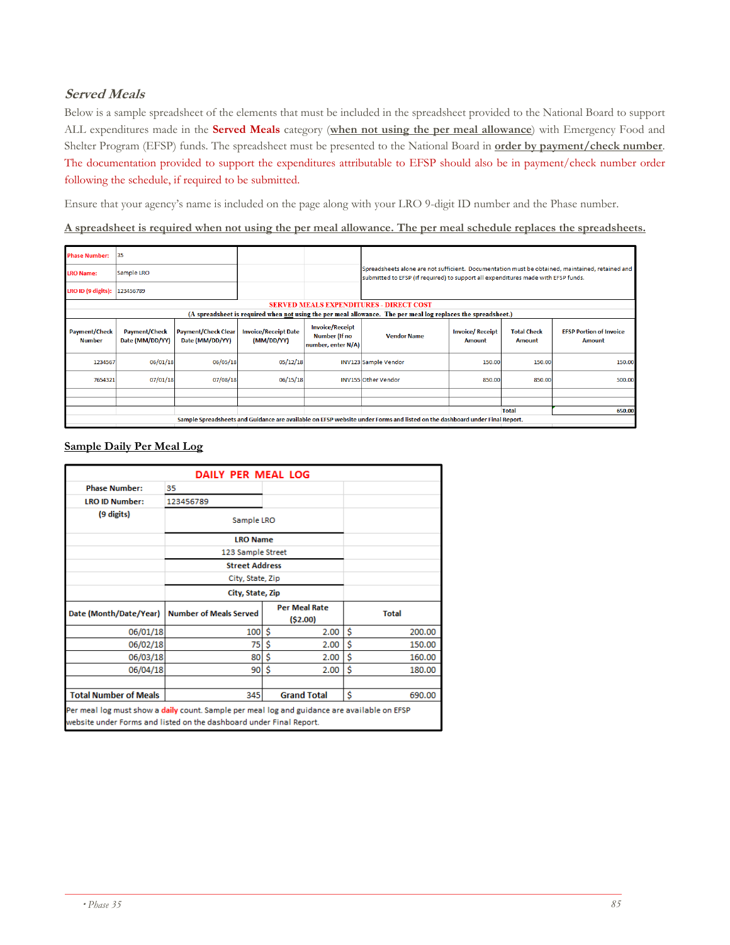## **Served Meals**

Below is a sample spreadsheet of the elements that must be included in the spreadsheet provided to the National Board to support ALL expenditures made in the **Served Meals** category (**when not using the per meal allowance**) with Emergency Food and Shelter Program (EFSP) funds. The spreadsheet must be presented to the National Board in **order by payment/check number**. The documentation provided to support the expenditures attributable to EFSP should also be in payment/check number order following the schedule, if required to be submitted.

Ensure that your agency's name is included on the page along with your LRO 9-digit ID number and the Phase number.

**A spreadsheet is required when not using the per meal allowance. The per meal schedule replaces the spreadsheets.** 

| <b>Phase Number:</b>                  | 35                                                                                                                         |          |                                           |                                                               |                                                |                                                                                                                                                                                      |                              |                                          |  |  |  |
|---------------------------------------|----------------------------------------------------------------------------------------------------------------------------|----------|-------------------------------------------|---------------------------------------------------------------|------------------------------------------------|--------------------------------------------------------------------------------------------------------------------------------------------------------------------------------------|------------------------------|------------------------------------------|--|--|--|
| <b>LRO Name:</b>                      | Sample LRO                                                                                                                 |          |                                           |                                                               |                                                | Spreadsheets alone are not sufficient. Documentation must be obtained, maintained, retained and<br>submitted to EFSP (if required) to support all expenditures made with EFSP funds. |                              |                                          |  |  |  |
| LRO ID (9 digits):                    | 123456789                                                                                                                  |          |                                           |                                                               |                                                |                                                                                                                                                                                      |                              |                                          |  |  |  |
|                                       |                                                                                                                            |          |                                           |                                                               | <b>SERVED MEALS EXPENDITURES - DIRECT COST</b> |                                                                                                                                                                                      |                              |                                          |  |  |  |
|                                       | (A spreadsheet is required when not using the per meal allowance. The per meal log replaces the spreadsheet.)              |          |                                           |                                                               |                                                |                                                                                                                                                                                      |                              |                                          |  |  |  |
| <b>Payment/Check</b><br><b>Number</b> | <b>Payment/Check</b><br><b>Payment/Check Clear</b><br>Date (MM/DD/YY)<br>Date (MM/DD/YY)                                   |          | <b>Invoice/Receipt Date</b><br>(MM/DD/YY) | <b>Invoice/Receipt</b><br>Number (If no<br>number, enter N/A) | <b>Vendor Name</b>                             | <b>Invoice/Receipt</b><br>Amount                                                                                                                                                     | <b>Total Check</b><br>Amount | <b>EFSP Portion of Invoice</b><br>Amount |  |  |  |
| 1234567                               | 06/01/18                                                                                                                   | 06/05/18 | 05/12/18                                  |                                                               | INV123 Sample Vendor                           | 150,00                                                                                                                                                                               | 150.00                       | 150.00                                   |  |  |  |
| 7654321                               | 07/01/18                                                                                                                   | 07/08/18 | 06/15/18                                  |                                                               | <b>INV155 Other Vendor</b>                     | 850.00                                                                                                                                                                               | 850.00                       | 500.00                                   |  |  |  |
|                                       |                                                                                                                            |          |                                           |                                                               |                                                |                                                                                                                                                                                      |                              |                                          |  |  |  |
|                                       |                                                                                                                            |          |                                           |                                                               |                                                |                                                                                                                                                                                      |                              |                                          |  |  |  |
|                                       |                                                                                                                            |          |                                           |                                                               |                                                |                                                                                                                                                                                      | <b>Total</b>                 | 650.00                                   |  |  |  |
|                                       | Sample Spreadsheets and Guidance are available on EFSP website under Forms and listed on the dashboard under Final Report. |          |                                           |                                                               |                                                |                                                                                                                                                                                      |                              |                                          |  |  |  |

## **Sample Daily Per Meal Log**

|                                                                                                                                                                     | <b>DAILY PER MEAL LOG</b>     |   |                                 |   |              |  |  |
|---------------------------------------------------------------------------------------------------------------------------------------------------------------------|-------------------------------|---|---------------------------------|---|--------------|--|--|
| <b>Phase Number:</b>                                                                                                                                                | 35                            |   |                                 |   |              |  |  |
| <b>LRO ID Number:</b>                                                                                                                                               | 123456789                     |   |                                 |   |              |  |  |
| (9 digits)                                                                                                                                                          | Sample LRO                    |   |                                 |   |              |  |  |
|                                                                                                                                                                     | <b>LRO Name</b>               |   |                                 |   |              |  |  |
|                                                                                                                                                                     |                               |   |                                 |   |              |  |  |
|                                                                                                                                                                     |                               |   |                                 |   |              |  |  |
|                                                                                                                                                                     |                               |   |                                 |   |              |  |  |
|                                                                                                                                                                     | City, State, Zip              |   |                                 |   |              |  |  |
| Date (Month/Date/Year)                                                                                                                                              | <b>Number of Meals Served</b> |   | <b>Per Meal Rate</b><br>(S2.00) |   | <b>Total</b> |  |  |
| 06/01/18                                                                                                                                                            | 100                           | Ŝ | 2.00                            | Ś | 200.00       |  |  |
| 06/02/18                                                                                                                                                            | 75                            | Ś | 2.00                            | Ś | 150.00       |  |  |
| 06/03/18                                                                                                                                                            | 80                            | Ś | 2.00                            | Ś | 160.00       |  |  |
| 06/04/18                                                                                                                                                            | 90 \$                         |   | 2.00                            | Ś | 180.00       |  |  |
|                                                                                                                                                                     |                               |   |                                 |   |              |  |  |
| <b>Total Number of Meals</b>                                                                                                                                        | 345                           |   | <b>Grand Total</b>              | Ś | 690.00       |  |  |
| Per meal log must show a daily count. Sample per meal log and guidance are available on EFSP<br>website under Forms and listed on the dashboard under Final Report. |                               |   |                                 |   |              |  |  |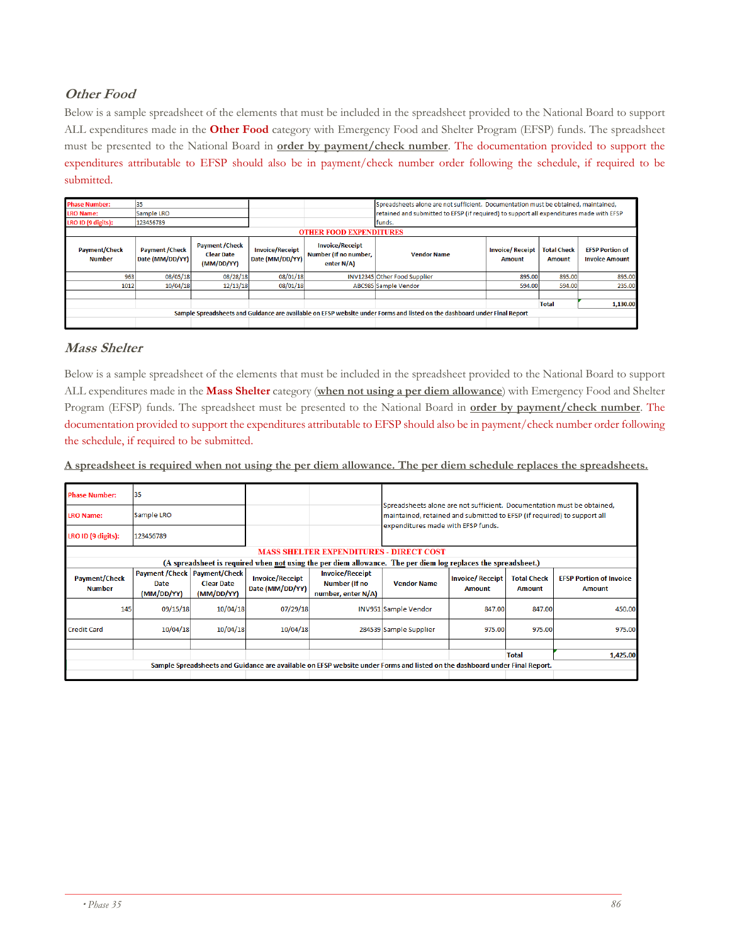# **Other Food**

Below is a sample spreadsheet of the elements that must be included in the spreadsheet provided to the National Board to support ALL expenditures made in the **Other Food** category with Emergency Food and Shelter Program (EFSP) funds. The spreadsheet must be presented to the National Board in **order by payment/check number**. The documentation provided to support the expenditures attributable to EFSP should also be in payment/check number order following the schedule, if required to be submitted.

| <b>Phase Number:</b><br><b>LRO Name:</b><br>LRO ID (9 digits): | 35<br><b>Sample LRO</b><br>123456789                                                                   |          |                                           | <b>OTHER FOOD EXPENDITURES</b>                                   | Spreadsheets alone are not sufficient. Documentation must be obtained, maintained,<br>retained and submitted to EFSP (if required) to support all expenditures made with EFSP<br>funds. |                                     |                                                 |          |
|----------------------------------------------------------------|--------------------------------------------------------------------------------------------------------|----------|-------------------------------------------|------------------------------------------------------------------|-----------------------------------------------------------------------------------------------------------------------------------------------------------------------------------------|-------------------------------------|-------------------------------------------------|----------|
| <b>Payment/Check</b><br><b>Number</b>                          | <b>Payment / Check</b><br><b>Payment / Check</b><br><b>Clear Date</b><br>Date (MM/DD/YY)<br>(MM/DD/YY) |          | <b>Invoice/Receipt</b><br>Date (MM/DD/YY) | <b>Invoice/Receipt</b><br>Number (If no number,<br>enter $N/A$ ) | <b>Vendor Name</b>                                                                                                                                                                      | <b>Total Check</b><br><b>Amount</b> | <b>EFSP Portion of</b><br><b>Invoice Amount</b> |          |
| 963                                                            | 08/05/18                                                                                               | 08/28/18 | 08/01/18                                  |                                                                  | INV12345 Other Food Supplier                                                                                                                                                            | 895.00                              | 895.00                                          | 895.00   |
| 1012                                                           | 10/04/18                                                                                               | 12/13/18 | 08/01/18                                  |                                                                  | ABC985 Sample Vendor                                                                                                                                                                    | 594.00                              | 594.00                                          | 235.00   |
|                                                                |                                                                                                        |          |                                           |                                                                  |                                                                                                                                                                                         |                                     |                                                 |          |
|                                                                |                                                                                                        |          |                                           |                                                                  |                                                                                                                                                                                         |                                     | <b>Total</b>                                    | 1,130.00 |
|                                                                |                                                                                                        |          |                                           |                                                                  | Sample Spreadsheets and Guidance are available on EFSP website under Forms and listed on the dashboard under Final Report                                                               |                                     |                                                 |          |
|                                                                |                                                                                                        |          |                                           |                                                                  |                                                                                                                                                                                         |                                     |                                                 |          |

## **Mass Shelter**

Below is a sample spreadsheet of the elements that must be included in the spreadsheet provided to the National Board to support ALL expenditures made in the **Mass Shelter** category (**when not using a per diem allowance**) with Emergency Food and Shelter Program (EFSP) funds. The spreadsheet must be presented to the National Board in **order by payment/check number**. The documentation provided to support the expenditures attributable to EFSP should also be in payment/check number order following the schedule, if required to be submitted.

**A spreadsheet is required when not using the per diem allowance. The per diem schedule replaces the spreadsheets.** 

| <b>Phase Number:</b>                                                                                          | 35                                    |                                                                                                      |          |                                                                                                                            |                                                                                                                                                   |                                         |                                     |                                          |  |  |  |
|---------------------------------------------------------------------------------------------------------------|---------------------------------------|------------------------------------------------------------------------------------------------------|----------|----------------------------------------------------------------------------------------------------------------------------|---------------------------------------------------------------------------------------------------------------------------------------------------|-----------------------------------------|-------------------------------------|------------------------------------------|--|--|--|
| <b>LRO Name:</b>                                                                                              | Sample LRO                            |                                                                                                      |          |                                                                                                                            | Spreadsheets alone are not sufficient. Documentation must be obtained.<br>maintained, retained and submitted to EFSP (if required) to support all |                                         |                                     |                                          |  |  |  |
| LRO ID (9 digits):                                                                                            | 123456789                             |                                                                                                      |          |                                                                                                                            | expenditures made with EFSP funds.                                                                                                                |                                         |                                     |                                          |  |  |  |
|                                                                                                               |                                       |                                                                                                      |          | <b>MASS SHELTER EXPENDITURES - DIRECT COST</b>                                                                             |                                                                                                                                                   |                                         |                                     |                                          |  |  |  |
| (A spreadsheet is required when not using the per diem allowance. The per diem log replaces the spreadsheet.) |                                       |                                                                                                      |          |                                                                                                                            |                                                                                                                                                   |                                         |                                     |                                          |  |  |  |
| <b>Payment/Check</b><br><b>Number</b>                                                                         | Payment / Check<br>Date<br>(MM/DD/YY) | <b>Payment/Check</b><br><b>Invoice/Receipt</b><br><b>Clear Date</b><br>Date (MM/DD/YY)<br>(MM/DD/YY) |          | <b>Invoice/Receipt</b><br><b>Number (If no</b><br>number, enter N/A)                                                       | <b>Vendor Name</b>                                                                                                                                | <b>Invoice/Receipt</b><br><b>Amount</b> | <b>Total Check</b><br><b>Amount</b> | <b>EFSP Portion of Invoice</b><br>Amount |  |  |  |
| 145                                                                                                           | 09/15/18                              | 10/04/18                                                                                             | 07/29/18 |                                                                                                                            | <b>INV951 Sample Vendor</b>                                                                                                                       | 847.00                                  | 847.00                              | 450.00                                   |  |  |  |
| <b>Credit Card</b>                                                                                            | 10/04/18                              | 10/04/18                                                                                             | 10/04/18 |                                                                                                                            | 284539 Sample Supplier                                                                                                                            | 975.00                                  | 975.00                              | 975.00                                   |  |  |  |
|                                                                                                               |                                       |                                                                                                      |          |                                                                                                                            |                                                                                                                                                   |                                         | <b>Total</b>                        | 1,425.00                                 |  |  |  |
|                                                                                                               |                                       |                                                                                                      |          | Sample Spreadsheets and Guidance are available on EFSP website under Forms and listed on the dashboard under Final Report. |                                                                                                                                                   |                                         |                                     |                                          |  |  |  |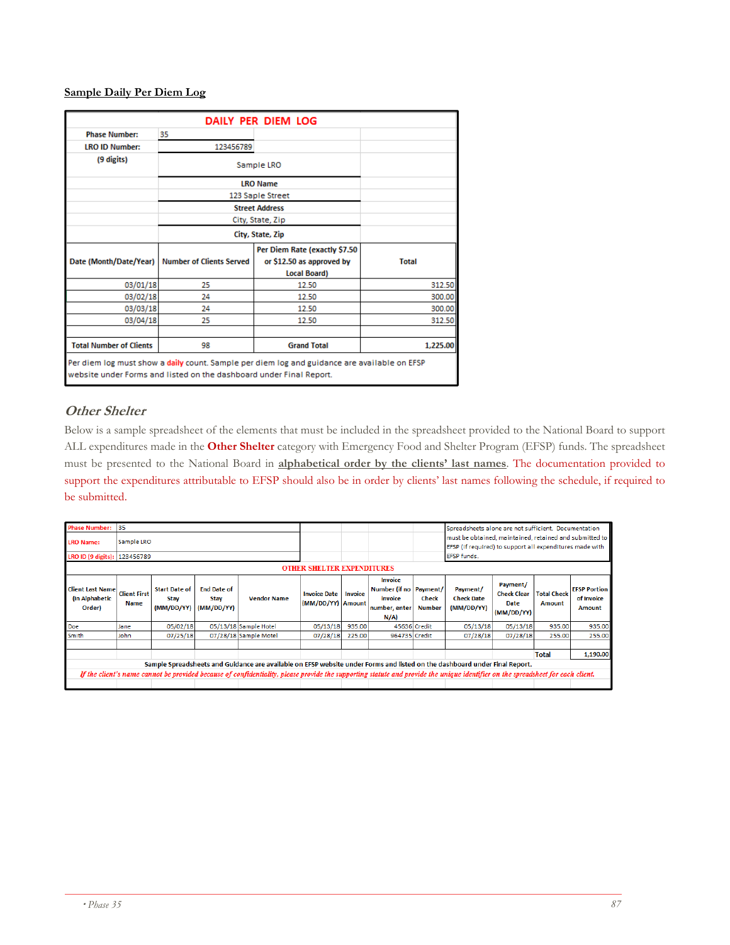#### **Sample Daily Per Diem Log**

|                                                                                                                                                                     |                                 | DAILY PER DIEM LOG            |              |  |  |  |  |  |
|---------------------------------------------------------------------------------------------------------------------------------------------------------------------|---------------------------------|-------------------------------|--------------|--|--|--|--|--|
| <b>Phase Number:</b>                                                                                                                                                | 35                              |                               |              |  |  |  |  |  |
| <b>LRO ID Number:</b>                                                                                                                                               | 123456789                       |                               |              |  |  |  |  |  |
| (9 digits)                                                                                                                                                          |                                 | Sample LRO                    |              |  |  |  |  |  |
|                                                                                                                                                                     |                                 | <b>LRO Name</b>               |              |  |  |  |  |  |
|                                                                                                                                                                     |                                 | 123 Saple Street              |              |  |  |  |  |  |
|                                                                                                                                                                     |                                 | <b>Street Address</b>         |              |  |  |  |  |  |
|                                                                                                                                                                     |                                 | City, State, Zip              |              |  |  |  |  |  |
|                                                                                                                                                                     |                                 | City, State, Zip              |              |  |  |  |  |  |
|                                                                                                                                                                     |                                 | Per Diem Rate (exactly \$7.50 |              |  |  |  |  |  |
| Date (Month/Date/Year)                                                                                                                                              | <b>Number of Clients Served</b> | or \$12.50 as approved by     | <b>Total</b> |  |  |  |  |  |
|                                                                                                                                                                     |                                 | <b>Local Board)</b>           |              |  |  |  |  |  |
| 03/01/18                                                                                                                                                            | 25                              | 12.50                         | 312.50       |  |  |  |  |  |
| 03/02/18                                                                                                                                                            | 24                              | 12.50                         | 300.00       |  |  |  |  |  |
| 03/03/18                                                                                                                                                            | 24                              | 12.50                         | 300.00       |  |  |  |  |  |
| 03/04/18                                                                                                                                                            | 25                              | 12.50                         | 312.50       |  |  |  |  |  |
|                                                                                                                                                                     |                                 |                               |              |  |  |  |  |  |
| <b>Total Number of Clients</b>                                                                                                                                      | 98                              | <b>Grand Total</b>            | 1.225.00     |  |  |  |  |  |
| Per diem log must show a daily count. Sample per diem log and guidance are available on EFSP<br>website under Forms and listed on the dashboard under Final Report. |                                 |                               |              |  |  |  |  |  |

### **Other Shelter**

Below is a sample spreadsheet of the elements that must be included in the spreadsheet provided to the National Board to support ALL expenditures made in the **Other Shelter** category with Emergency Food and Shelter Program (EFSP) funds. The spreadsheet must be presented to the National Board in **alphabetical order by the clients' last names**. The documentation provided to support the expenditures attributable to EFSP should also be in order by clients' last names following the schedule, if required to be submitted.

| <b>Phase Number:</b><br><b>LRO Name:</b><br>LRO ID (9 digits): | 35<br>Sample LRO<br>123456789                                                                                                                      |          |  |                                                                                                                                                                                 |          |                                                     | <b>OTHER SHELTER EXPENDITURES</b>                                    |                               | Spreadsheets alone are not sufficient. Documentation<br>must be obtained, maintained, retained and submitted to   <br>EFSP (if required) to support all expenditures made with<br><b>EFSP funds.</b> |                                                      |                              |                                                    |
|----------------------------------------------------------------|----------------------------------------------------------------------------------------------------------------------------------------------------|----------|--|---------------------------------------------------------------------------------------------------------------------------------------------------------------------------------|----------|-----------------------------------------------------|----------------------------------------------------------------------|-------------------------------|------------------------------------------------------------------------------------------------------------------------------------------------------------------------------------------------------|------------------------------------------------------|------------------------------|----------------------------------------------------|
| <b>Client Last Name</b><br>(In Alphabetic<br>Order)            | <b>End Date of</b><br><b>Start Date of</b><br><b>Client First</b><br><b>Vendor Name</b><br>Stay<br>Stav<br><b>Name</b><br>(MM/DD/YY)<br>(MM/DD/YY) |          |  |                                                                                                                                                                                 |          | <b>Invoice Date</b><br>Invoice<br>(MM/DD/YY) Amount | Invoice<br>Number (if no Payment/<br>invoice<br>number, enter<br>N/A | <b>Check</b><br><b>Number</b> | Payment/<br><b>Check Date</b><br>(MM/DD/YY)                                                                                                                                                          | Payment/<br><b>Check Clear</b><br>Date<br>(MM/DD/YY) | <b>Total Check</b><br>Amount | <b>EFSP Portion</b><br>of Invoice<br><b>Amount</b> |
| Doe                                                            | Jane                                                                                                                                               | 05/02/18 |  | 05/13/18 Sample Hotel                                                                                                                                                           | 05/13/18 | 935.00                                              |                                                                      | 45636 Credit                  | 05/13/18                                                                                                                                                                                             | 05/13/18                                             | 935.00                       | 935.00                                             |
| <b>Smith</b>                                                   | John                                                                                                                                               | 07/25/18 |  | 07/28/18 Sample Motel                                                                                                                                                           | 07/28/18 | 225,00                                              | 964735 Credit                                                        |                               | 07/28/18                                                                                                                                                                                             | 07/28/18                                             | 255.00                       | 255.00                                             |
|                                                                |                                                                                                                                                    |          |  | Sample Spreadsheets and Guidance are available on EFSP website under Forms and listed on the dashboard under Final Report.                                                      |          |                                                     |                                                                      |                               |                                                                                                                                                                                                      |                                                      | <b>Total</b>                 | 1,190.00                                           |
|                                                                |                                                                                                                                                    |          |  | If the client's name cannot be provided because of confidentiality, please provide the supporting statute and provide the unique identifier on the spreadsheet for each client. |          |                                                     |                                                                      |                               |                                                                                                                                                                                                      |                                                      |                              |                                                    |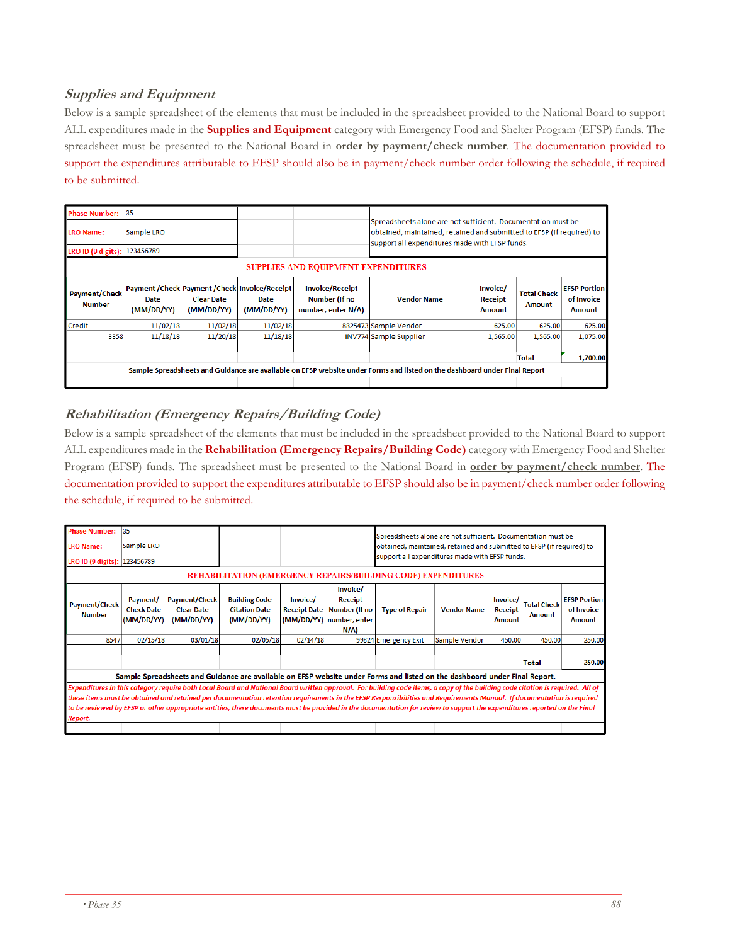# **Supplies and Equipment**

Below is a sample spreadsheet of the elements that must be included in the spreadsheet provided to the National Board to support ALL expenditures made in the **Supplies and Equipment** category with Emergency Food and Shelter Program (EFSP) funds. The spreadsheet must be presented to the National Board in **order by payment/check number**. The documentation provided to support the expenditures attributable to EFSP should also be in payment/check number order following the schedule, if required to be submitted.

| <b>Phase Number:</b>                       | 35                                                                                                           |          |                    |                                                               |                                                                                                                                                                                         |          |                                     |                                             |  |  |
|--------------------------------------------|--------------------------------------------------------------------------------------------------------------|----------|--------------------|---------------------------------------------------------------|-----------------------------------------------------------------------------------------------------------------------------------------------------------------------------------------|----------|-------------------------------------|---------------------------------------------|--|--|
| <b>LRO Name:</b>                           | Sample LRO                                                                                                   |          |                    |                                                               | Spreadsheets alone are not sufficient. Documentation must be<br>obtained, maintained, retained and submitted to EFSP (if required) to<br>support all expenditures made with EFSP funds. |          |                                     |                                             |  |  |
| LRO ID (9 digits): 123456789               |                                                                                                              |          |                    |                                                               |                                                                                                                                                                                         |          |                                     |                                             |  |  |
| <b>SUPPLIES AND EQUIPMENT EXPENDITURES</b> |                                                                                                              |          |                    |                                                               |                                                                                                                                                                                         |          |                                     |                                             |  |  |
| <b>Payment/Check</b><br><b>Number</b>      | Payment / Check Payment / Check   Invoice/Receipt  <br><b>Clear Date</b><br>Date<br>(MM/DD/YY)<br>(MM/DD/YY) |          | Date<br>(MM/DD/YY) | <b>Invoice/Receipt</b><br>Number (If no<br>number, enter N/A) | Invoice/<br><b>Vendor Name</b><br>Receipt<br><b>Amount</b>                                                                                                                              |          | <b>Total Check</b><br><b>Amount</b> | <b>EFSP Portion</b><br>of Invoice<br>Amount |  |  |
| Credit                                     | 11/02/18                                                                                                     | 11/02/18 | 11/02/18           |                                                               | 8825473 Sample Vendor                                                                                                                                                                   | 625.00   | 625.00                              | 625.00                                      |  |  |
| 3358                                       | 11/18/18                                                                                                     | 11/20/18 | 11/18/18           |                                                               | <b>INV774 Sample Supplier</b>                                                                                                                                                           | 1,565.00 | 1,565.00                            | 1,075.00                                    |  |  |
|                                            |                                                                                                              |          |                    |                                                               | Sample Spreadsheets and Guidance are available on EFSP website under Forms and listed on the dashboard under Final Report                                                               |          | <b>Total</b>                        | 1,700.00                                    |  |  |
|                                            |                                                                                                              |          |                    |                                                               |                                                                                                                                                                                         |          |                                     |                                             |  |  |

## **Rehabilitation (Emergency Repairs/Building Code)**

Below is a sample spreadsheet of the elements that must be included in the spreadsheet provided to the National Board to support ALL expenditures made in the **Rehabilitation (Emergency Repairs/Building Code)** category with Emergency Food and Shelter Program (EFSP) funds. The spreadsheet must be presented to the National Board in **order by payment/check number**. The documentation provided to support the expenditures attributable to EFSP should also be in payment/check number order following the schedule, if required to be submitted.

| <b>Phase Number:</b><br><b>LRO Name:</b><br>LRO ID (9 digits): 123456789                                                                                                                                                                                                                                                                                                                                                                                                                                                                                                                                                                                                    | 35<br>Sample LRO                            |                                                         |                                                            |                                        |                                                                                | Spreadsheets alone are not sufficient. Documentation must be<br>obtained, maintained, retained and submitted to EFSP (if required) to<br>support all expenditures made with EFSP funds. |                    |                                             |                                     |                                                    |
|-----------------------------------------------------------------------------------------------------------------------------------------------------------------------------------------------------------------------------------------------------------------------------------------------------------------------------------------------------------------------------------------------------------------------------------------------------------------------------------------------------------------------------------------------------------------------------------------------------------------------------------------------------------------------------|---------------------------------------------|---------------------------------------------------------|------------------------------------------------------------|----------------------------------------|--------------------------------------------------------------------------------|-----------------------------------------------------------------------------------------------------------------------------------------------------------------------------------------|--------------------|---------------------------------------------|-------------------------------------|----------------------------------------------------|
| <b>REHABILITATION (EMERGENCY REPAIRS/BUILDING CODE) EXPENDITURES</b>                                                                                                                                                                                                                                                                                                                                                                                                                                                                                                                                                                                                        |                                             |                                                         |                                                            |                                        |                                                                                |                                                                                                                                                                                         |                    |                                             |                                     |                                                    |
| <b>Payment/Check</b><br><b>Number</b>                                                                                                                                                                                                                                                                                                                                                                                                                                                                                                                                                                                                                                       | Payment/<br><b>Check Date</b><br>(MM/DD/YY) | <b>Payment/Check</b><br><b>Clear Date</b><br>(MM/DD/YY) | <b>Building Code</b><br><b>Citation Date</b><br>(MM/DD/YY) | <b>Invoice/</b><br><b>Receipt Date</b> | Invoice/<br><b>Receipt</b><br>Number (If no<br>(MM/DD/YY) number, enter<br>N/A | <b>Type of Repair</b>                                                                                                                                                                   | <b>Vendor Name</b> | Invoice/<br><b>Receipt</b><br><b>Amount</b> | <b>Total Check</b><br><b>Amount</b> | <b>EFSP Portion</b><br>of Invoice<br><b>Amount</b> |
| 8547                                                                                                                                                                                                                                                                                                                                                                                                                                                                                                                                                                                                                                                                        | 02/15/18                                    | 03/01/18                                                | 02/05/18                                                   | 02/14/18                               |                                                                                | 99824 Emergency Exit                                                                                                                                                                    | Sample Vendor      | 450.00                                      | 450.00                              | 250.00                                             |
|                                                                                                                                                                                                                                                                                                                                                                                                                                                                                                                                                                                                                                                                             |                                             |                                                         |                                                            |                                        |                                                                                |                                                                                                                                                                                         |                    |                                             | Total                               | 250.00                                             |
| Sample Spreadsheets and Guidance are available on EFSP website under Forms and listed on the dashboard under Final Report.<br>Expenditures in this category require both Local Board and National Board written approval. For building code items, a copy of the building code citation is required. All of<br>these items must be obtained and retained per documentation retention requirements in the EFSP Responsibilities and Requirements Manual. If documentation is required<br>to be reviewed by EFSP or other appropriate entities, these documents must be provided in the documentation for review to support the expenditures reported on the Final<br>Report. |                                             |                                                         |                                                            |                                        |                                                                                |                                                                                                                                                                                         |                    |                                             |                                     |                                                    |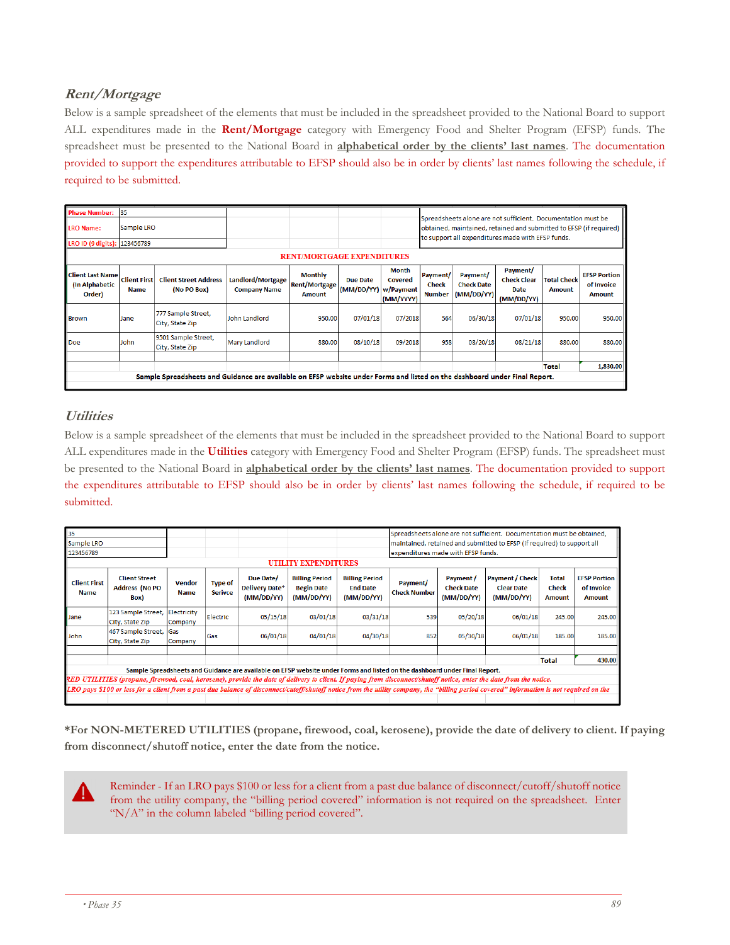# **Rent/Mortgage**

Below is a sample spreadsheet of the elements that must be included in the spreadsheet provided to the National Board to support ALL expenditures made in the **Rent/Mortgage** category with Emergency Food and Shelter Program (EFSP) funds. The spreadsheet must be presented to the National Board in **alphabetical order by the clients' last names**. The documentation provided to support the expenditures attributable to EFSP should also be in order by clients' last names following the schedule, if required to be submitted.

| <b>Phase Number:</b><br><b>LRO Name:</b>            | 35<br>Sample LRO                                                                                                           |                                             |                                          |                                                  |                        |                                            |                                           | Spreadsheets alone are not sufficient. Documentation must be<br>obtained, maintained, retained and submitted to EFSP (if required)<br>to support all expenditures made with EFSP funds. |                                                      |                              |                                                    |
|-----------------------------------------------------|----------------------------------------------------------------------------------------------------------------------------|---------------------------------------------|------------------------------------------|--------------------------------------------------|------------------------|--------------------------------------------|-------------------------------------------|-----------------------------------------------------------------------------------------------------------------------------------------------------------------------------------------|------------------------------------------------------|------------------------------|----------------------------------------------------|
|                                                     | LRO ID (9 digits): 123456789                                                                                               |                                             |                                          |                                                  |                        |                                            |                                           |                                                                                                                                                                                         |                                                      |                              |                                                    |
|                                                     | <b>RENT/MORTGAGE EXPENDITURES</b>                                                                                          |                                             |                                          |                                                  |                        |                                            |                                           |                                                                                                                                                                                         |                                                      |                              |                                                    |
| <b>Client Last Name</b><br>(In Alphabetic<br>Order) | <b>Client First</b><br><b>Name</b>                                                                                         | <b>Client Street Address</b><br>(No PO Box) | Landlord/Mortgage<br><b>Company Name</b> | <b>Monthly</b><br><b>Rent/Mortgage</b><br>Amount | Due Date<br>(MM/DD/YY) | Month<br>Covered<br>w/Payment<br>(MM/YYYY) | Payment/<br><b>Check</b><br><b>Number</b> | Payment/<br><b>Check Date</b><br>(MM/DD/YY)                                                                                                                                             | Payment/<br><b>Check Clear</b><br>Date<br>(MM/DD/YY) | <b>Total Check</b><br>Amount | <b>EFSP Portion</b><br>of Invoice<br><b>Amount</b> |
| <b>Brown</b>                                        | Jane                                                                                                                       | 777 Sample Street,<br>City, State Zip       | John Landlord                            | 950.00                                           | 07/01/18               | 07/2018                                    | 564                                       | 06/30/18                                                                                                                                                                                | 07/01/18                                             | 950.00                       | 950.00                                             |
| Doe                                                 | 9501 Sample Street,<br>John<br>City, State Zip                                                                             |                                             | <b>Mary Landlord</b>                     | 880.00                                           | 08/10/18               | 09/2018                                    | 958                                       | 08/20/18                                                                                                                                                                                | 08/21/18                                             | 880.00                       | 880.00                                             |
|                                                     |                                                                                                                            |                                             |                                          |                                                  |                        |                                            |                                           |                                                                                                                                                                                         |                                                      | <b>Total</b>                 | 1,830.00                                           |
|                                                     | Sample Spreadsheets and Guidance are available on EFSP website under Forms and listed on the dashboard under Final Report. |                                             |                                          |                                                  |                        |                                            |                                           |                                                                                                                                                                                         |                                                      |                              |                                                    |

### **Utilities**

Below is a sample spreadsheet of the elements that must be included in the spreadsheet provided to the National Board to support ALL expenditures made in the **Utilities** category with Emergency Food and Shelter Program (EFSP) funds. The spreadsheet must be presented to the National Board in **alphabetical order by the clients' last names**. The documentation provided to support the expenditures attributable to EFSP should also be in order by clients' last names following the schedule, if required to be submitted.

| 35                                                                                                                                                                                        |                                                       |                              |                                  |                                                  |                                                          |                                                        | Spreadsheets alone are not sufficient. Documentation must be obtained,  |                                              |                                                           |                                               |                                                    |
|-------------------------------------------------------------------------------------------------------------------------------------------------------------------------------------------|-------------------------------------------------------|------------------------------|----------------------------------|--------------------------------------------------|----------------------------------------------------------|--------------------------------------------------------|-------------------------------------------------------------------------|----------------------------------------------|-----------------------------------------------------------|-----------------------------------------------|----------------------------------------------------|
| Sample LRO                                                                                                                                                                                |                                                       |                              |                                  |                                                  |                                                          |                                                        | maintained, retained and submitted to EFSP (if required) to support all |                                              |                                                           |                                               |                                                    |
| 123456789                                                                                                                                                                                 |                                                       |                              |                                  |                                                  |                                                          |                                                        | expenditures made with EFSP funds.                                      |                                              |                                                           |                                               |                                                    |
| <b>UTILITY EXPENDITURES</b>                                                                                                                                                               |                                                       |                              |                                  |                                                  |                                                          |                                                        |                                                                         |                                              |                                                           |                                               |                                                    |
| <b>Client First</b><br><b>Name</b>                                                                                                                                                        | <b>Client Street</b><br><b>Address (No PO</b><br>Box) | <b>Vendor</b><br><b>Name</b> | <b>Type of</b><br><b>Serivce</b> | Due Date/<br><b>Delivery Date*</b><br>(MM/DD/YY) | <b>Billing Period</b><br><b>Begin Date</b><br>(MM/DD/YY) | <b>Billing Period</b><br><b>End Date</b><br>(MM/DD/YY) | Payment/<br><b>Check Number</b>                                         | Payment /<br><b>Check Date</b><br>(MM/DD/YY) | <b>Payment / Check</b><br><b>Clear Date</b><br>(MM/DD/YY) | <b>Total</b><br><b>Check</b><br><b>Amount</b> | <b>EFSP Portion</b><br>of Invoice<br><b>Amount</b> |
| Jane                                                                                                                                                                                      | 123 Sample Street, Electricity<br>City, State Zip     | Company                      | Electric                         | 05/15/18                                         | 03/01/18                                                 | 03/31/18                                               | 539                                                                     | 05/20/18                                     | 06/01/18                                                  | 245.00                                        | 245.00                                             |
| John                                                                                                                                                                                      | 467 Sample Street, Gas<br>City, State Zip             | Company                      | Gas                              | 06/01/18                                         | 04/01/18                                                 | 04/30/18                                               | 852                                                                     | 05/30/18                                     | 06/01/18                                                  | 185.00                                        | 185.00                                             |
|                                                                                                                                                                                           |                                                       |                              |                                  |                                                  |                                                          |                                                        |                                                                         |                                              |                                                           |                                               |                                                    |
|                                                                                                                                                                                           |                                                       |                              |                                  |                                                  |                                                          |                                                        |                                                                         |                                              |                                                           | <b>Total</b>                                  | 430.00                                             |
| Sample Spreadsheets and Guidance are available on EFSP website under Forms and listed on the dashboard under Final Report.                                                                |                                                       |                              |                                  |                                                  |                                                          |                                                        |                                                                         |                                              |                                                           |                                               |                                                    |
| RED UTILITIES (propane, firewood, coal, kerosene), provide the date of delivery to client. If paying from disconnect/shutoff notice, enter the date from the notice.                      |                                                       |                              |                                  |                                                  |                                                          |                                                        |                                                                         |                                              |                                                           |                                               |                                                    |
| LRO pays \$100 or less for a client from a past due balance of disconnect/cutoff/shutoff notice from the utility company, the "billing period covered" information is not required on the |                                                       |                              |                                  |                                                  |                                                          |                                                        |                                                                         |                                              |                                                           |                                               |                                                    |
|                                                                                                                                                                                           |                                                       |                              |                                  |                                                  |                                                          |                                                        |                                                                         |                                              |                                                           |                                               |                                                    |

**\*For NON-METERED UTILITIES (propane, firewood, coal, kerosene), provide the date of delivery to client. If paying from disconnect/shutoff notice, enter the date from the notice.**

Reminder - If an LRO pays \$100 or less for a client from a past due balance of disconnect/cutoff/shutoff notice from the utility company, the "billing period covered" information is not required on the spreadsheet. Enter "N/A" in the column labeled "billing period covered".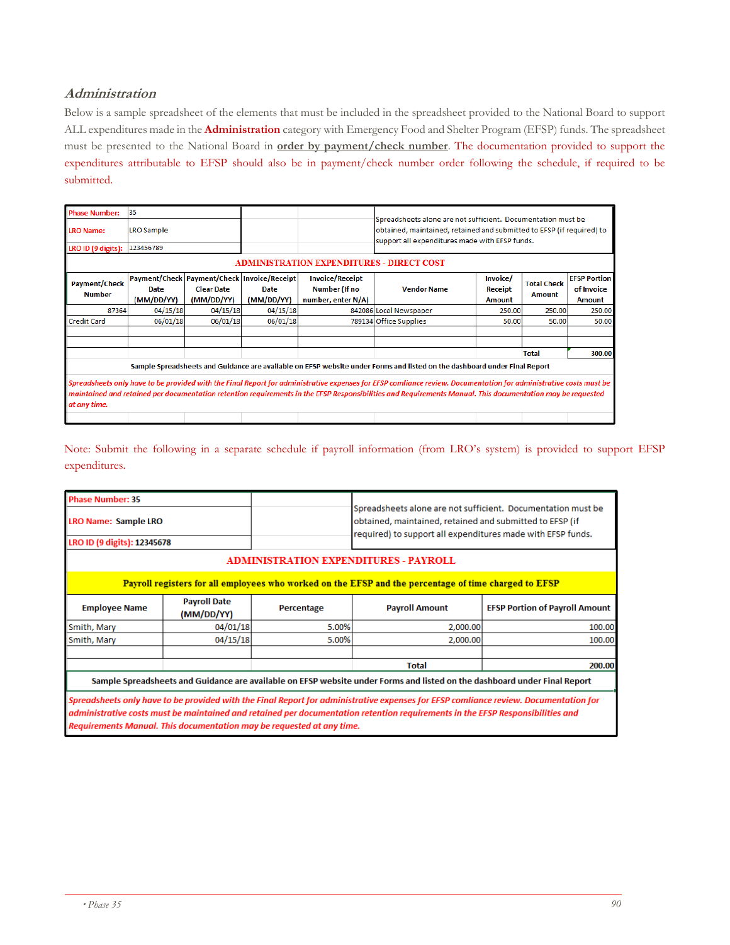#### **Administration**

Below is a sample spreadsheet of the elements that must be included in the spreadsheet provided to the National Board to support ALL expenditures made in the **Administration** category with Emergency Food and Shelter Program (EFSP) funds. The spreadsheet must be presented to the National Board in **order by payment/check number**. The documentation provided to support the expenditures attributable to EFSP should also be in payment/check number order following the schedule, if required to be submitted.

| <b>Phase Number:</b>                             | 35                                                                                                                        |                                                                                |                    |                                                                      | Spreadsheets alone are not sufficient. Documentation must be                                                                                                                                                                                                                                                                    |                                                                             |              |        |  |  |  |
|--------------------------------------------------|---------------------------------------------------------------------------------------------------------------------------|--------------------------------------------------------------------------------|--------------------|----------------------------------------------------------------------|---------------------------------------------------------------------------------------------------------------------------------------------------------------------------------------------------------------------------------------------------------------------------------------------------------------------------------|-----------------------------------------------------------------------------|--------------|--------|--|--|--|
| <b>LRO Name:</b>                                 | <b>LRO Sample</b>                                                                                                         |                                                                                |                    |                                                                      | obtained, maintained, retained and submitted to EFSP (if required) to<br>support all expenditures made with EFSP funds.                                                                                                                                                                                                         |                                                                             |              |        |  |  |  |
| LRO ID (9 digits):                               | 123456789                                                                                                                 |                                                                                |                    |                                                                      |                                                                                                                                                                                                                                                                                                                                 |                                                                             |              |        |  |  |  |
| <b>ADMINISTRATION EXPENDITURES - DIRECT COST</b> |                                                                                                                           |                                                                                |                    |                                                                      |                                                                                                                                                                                                                                                                                                                                 |                                                                             |              |        |  |  |  |
| <b>Payment/Check</b><br><b>Number</b>            | Date<br>(MM/DD/YY)                                                                                                        | Payment/Check Payment/Check Invoice/Receipt<br><b>Clear Date</b><br>(MM/DD/YY) | Date<br>(MM/DD/YY) | <b>Invoice/Receipt</b><br><b>Number (If no</b><br>number, enter N/A) | <b>Vendor Name</b>                                                                                                                                                                                                                                                                                                              | Invoice/<br><b>Total Check</b><br>Receipt<br><b>Amount</b><br><b>Amount</b> |              |        |  |  |  |
| 87364                                            | 04/15/18                                                                                                                  | 04/15/18                                                                       | 04/15/18           |                                                                      | 842086 Local Newspaper                                                                                                                                                                                                                                                                                                          | 250.00                                                                      | 250.00       | 250.00 |  |  |  |
| <b>Credit Card</b>                               | 06/01/18                                                                                                                  | 06/01/18                                                                       | 06/01/18           |                                                                      | 789134 Office Supplies                                                                                                                                                                                                                                                                                                          | 50.00                                                                       | 50.00        | 50.00  |  |  |  |
|                                                  |                                                                                                                           |                                                                                |                    |                                                                      |                                                                                                                                                                                                                                                                                                                                 |                                                                             |              |        |  |  |  |
|                                                  |                                                                                                                           |                                                                                |                    |                                                                      |                                                                                                                                                                                                                                                                                                                                 |                                                                             | <b>Total</b> | 300.00 |  |  |  |
|                                                  | Sample Spreadsheets and Guidance are available on EFSP website under Forms and listed on the dashboard under Final Report |                                                                                |                    |                                                                      |                                                                                                                                                                                                                                                                                                                                 |                                                                             |              |        |  |  |  |
| at any time.                                     |                                                                                                                           |                                                                                |                    |                                                                      | Spreadsheets only have to be provided with the Final Report for administrative expenses for EFSP comliance review. Documentation for administrative costs must be<br>maintained and retained per documentation retention requirements in the EFSP Responsibilities and Requirements Manual. This documentation may be requested |                                                                             |              |        |  |  |  |

Note: Submit the following in a separate schedule if payroll information (from LRO's system) is provided to support EFSP expenditures.

| <b>Phase Number: 35</b>     |                                   |                                                                       |                                                                                                                                                                                                                                                                        |                                       |  |  |  |  |
|-----------------------------|-----------------------------------|-----------------------------------------------------------------------|------------------------------------------------------------------------------------------------------------------------------------------------------------------------------------------------------------------------------------------------------------------------|---------------------------------------|--|--|--|--|
| <b>LRO Name: Sample LRO</b> |                                   |                                                                       | Spreadsheets alone are not sufficient. Documentation must be<br>obtained, maintained, retained and submitted to EFSP (if<br>required) to support all expenditures made with EFSP funds.                                                                                |                                       |  |  |  |  |
| LRO ID (9 digits): 12345678 |                                   |                                                                       |                                                                                                                                                                                                                                                                        |                                       |  |  |  |  |
|                             |                                   |                                                                       | <b>ADMINISTRATION EXPENDITURES - PAYROLL</b>                                                                                                                                                                                                                           |                                       |  |  |  |  |
|                             |                                   |                                                                       | Payroll registers for all employees who worked on the EFSP and the percentage of time charged to EFSP                                                                                                                                                                  |                                       |  |  |  |  |
| <b>Employee Name</b>        | <b>Payroll Date</b><br>(MM/DD/YY) | Percentage                                                            | <b>Payroll Amount</b>                                                                                                                                                                                                                                                  | <b>EFSP Portion of Payroll Amount</b> |  |  |  |  |
| Smith, Mary                 | 04/01/18                          | 5.00%                                                                 | 2,000.00                                                                                                                                                                                                                                                               | 100.00                                |  |  |  |  |
| Smith, Mary                 | 04/15/18                          | 5.00%                                                                 | 2,000.00                                                                                                                                                                                                                                                               | 100.00                                |  |  |  |  |
|                             |                                   |                                                                       | <b>Total</b>                                                                                                                                                                                                                                                           | 200.00                                |  |  |  |  |
|                             |                                   |                                                                       | Sample Spreadsheets and Guidance are available on EFSP website under Forms and listed on the dashboard under Final Report                                                                                                                                              |                                       |  |  |  |  |
|                             |                                   | Requirements Manual. This documentation may be requested at any time. | Spreadsheets only have to be provided with the Final Report for administrative expenses for EFSP comliance review. Documentation for<br>administrative costs must be maintained and retained per documentation retention requirements in the EFSP Responsibilities and |                                       |  |  |  |  |